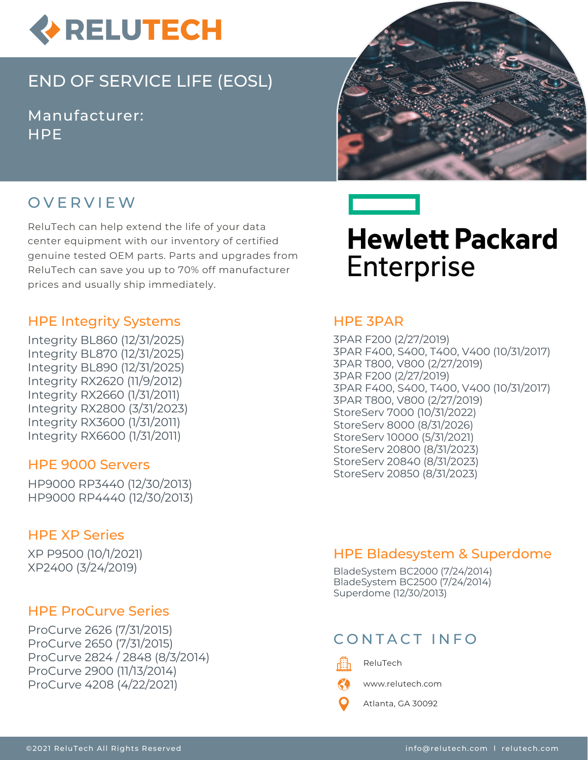

# END OF SERVICE LIFE (EOSL)

Manufacturer: **HPF** 





ReluTech can help extend the life of your data center equipment with our inventory of certified genuine tested OEM parts. Parts and upgrades from ReluTech can save you up to 70% off manufacturer prices and usually ship immediately.

#### HPE Integrity Systems

Integrity BL860 (12/31/2025) Integrity BL870 (12/31/2025) Integrity BL890 (12/31/2025) Integrity RX2620 (11/9/2012) Integrity RX2660 (1/31/2011) Integrity RX2800 (3/31/2023) Integrity RX3600 (1/31/2011) Integrity RX6600 (1/31/2011)

#### HPE 9000 Servers

HP9000 RP3440 (12/30/2013) HP9000 RP4440 (12/30/2013)

#### HPE XP Series

XP P9500 (10/1/2021) XP2400 (3/24/2019)

#### HPE ProCurve Series

ProCurve 2626 (7/31/2015) ProCurve 2650 (7/31/2015) ProCurve 2824 / 2848 (8/3/2014) ProCurve 2900 (11/13/2014) ProCurve 4208 (4/22/2021)



# **Hewlett Packard Enterprise**

#### HPE 3PAR

3PAR F200 (2/27/2019) 3PAR F400, S400, T400, V400 (10/31/2017) 3PAR T800, V800 (2/27/2019) 3PAR F200 (2/27/2019) 3PAR F400, S400, T400, V400 (10/31/2017) 3PAR T800, V800 (2/27/2019) StoreServ 7000 (10/31/2022) StoreServ 8000 (8/31/2026) StoreServ 10000 (5/31/2021) StoreServ 20800 (8/31/2023) StoreServ 20840 (8/31/2023) StoreServ 20850 (8/31/2023)

### HPE Bladesystem & Superdome

BladeSystem BC2000 (7/24/2014) BladeSystem BC2500 (7/24/2014) Superdome (12/30/2013)

## CONTACT INFO

畾

K")

ReluTech

www.relutech.com

Atlanta, GA 30092